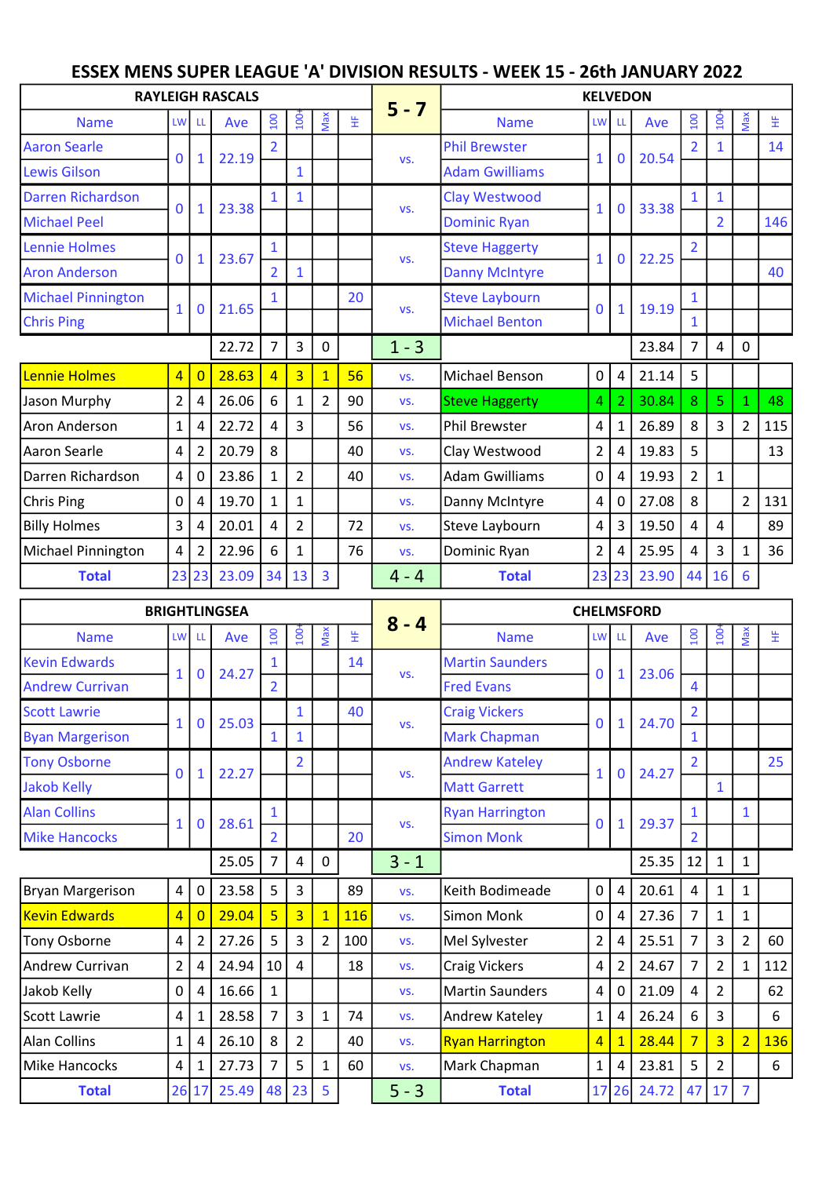## ESSEX MENS SUPER LEAGUE 'A' DIVISION RESULTS - WEEK 15 - 26th JANUARY 2022

|                           |                |                | <b>RAYLEIGH RASCALS</b> |                |                |                |    |         | <b>KELVEDON</b>       |                 |                |       |                |                  |                |     |  |  |  |
|---------------------------|----------------|----------------|-------------------------|----------------|----------------|----------------|----|---------|-----------------------|-----------------|----------------|-------|----------------|------------------|----------------|-----|--|--|--|
| <b>Name</b>               | LW             | LL             | Ave                     | 100            | $100+$         | Max            | 뚶  | $5 - 7$ | <b>Name</b>           | LW <sup>I</sup> | - LL           | Ave   | 100            | 100 <sub>1</sub> | Max            | 뜊   |  |  |  |
| <b>Aaron Searle</b>       | $\overline{0}$ |                | 22.19                   |                |                |                |    |         | <b>Phil Brewster</b>  | $\mathbf{1}$    | $\bf{0}$       | 20.54 |                |                  |                | 14  |  |  |  |
| <b>Lewis Gilson</b>       |                | $\mathbf{1}$   |                         |                | 1              |                |    | VS.     | <b>Adam Gwilliams</b> |                 |                |       |                |                  |                |     |  |  |  |
| <b>Darren Richardson</b>  | 0              | $\mathbf{1}$   | 23.38                   |                |                |                |    | VS.     | Clay Westwood         | $\mathbf{1}$    | $\mathbf 0$    | 33.38 | 1              | 1                |                |     |  |  |  |
| <b>Michael Peel</b>       |                |                |                         |                |                |                |    |         | <b>Dominic Ryan</b>   |                 |                |       |                | $\overline{2}$   |                | 146 |  |  |  |
| Lennie Holmes             | $\mathbf{0}$   |                | 23.67                   | $\mathbf{1}$   |                |                |    | VS.     | <b>Steve Haggerty</b> | 1               | $\mathbf 0$    | 22.25 | $\overline{2}$ |                  |                |     |  |  |  |
| <b>Aron Anderson</b>      |                | $\mathbf{1}$   |                         | $\overline{2}$ | 1              |                |    |         | <b>Danny McIntyre</b> |                 |                |       |                |                  |                | 40  |  |  |  |
| <b>Michael Pinnington</b> | $\mathbf{1}$   | $\mathbf 0$    | 21.65                   |                |                |                | 20 | VS.     | <b>Steve Laybourn</b> | $\mathbf{0}$    | $\mathbf{1}$   | 19.19 | $\mathbf{1}$   |                  |                |     |  |  |  |
| <b>Chris Ping</b>         |                |                |                         |                |                |                |    |         | <b>Michael Benton</b> |                 |                |       | $\mathbf{1}$   |                  |                |     |  |  |  |
|                           |                |                | 22.72                   | $\overline{7}$ | 3              | 0              |    | $1 - 3$ |                       |                 |                | 23.84 | $\overline{7}$ | 4                | 0              |     |  |  |  |
| Lennie Holmes             | $\overline{4}$ | $\overline{0}$ | 28.63                   | $\overline{4}$ | $\overline{3}$ | $\mathbf{1}$   | 56 | VS.     | Michael Benson        | $\mathbf 0$     | 4              | 21.14 | 5              |                  |                |     |  |  |  |
| Jason Murphy              | $\overline{2}$ | 4              | 26.06                   | 6              | 1              | $\overline{2}$ | 90 | VS.     | <b>Steve Haggerty</b> | 4               | $\overline{2}$ | 30.84 | 8              | 5                | $\mathbf{1}$   | 48  |  |  |  |
| Aron Anderson             | $\mathbf{1}$   | 4              | 22.72                   | 4              | 3              |                | 56 | VS.     | Phil Brewster         | 4               | $\mathbf{1}$   | 26.89 | 8              | 3                | $\overline{2}$ | 115 |  |  |  |
| Aaron Searle              | 4              | $\overline{2}$ | 20.79                   | 8              |                |                | 40 | VS.     | Clay Westwood         | $\overline{2}$  | 4              | 19.83 | 5              |                  |                | 13  |  |  |  |
| Darren Richardson         | 4              | $\overline{0}$ | 23.86                   | 1              | $\overline{2}$ |                | 40 | VS.     | Adam Gwilliams        | $\mathbf 0$     | 4              | 19.93 | $\overline{2}$ | $\mathbf{1}$     |                |     |  |  |  |
| Chris Ping                | 0              | 4              | 19.70                   | $\mathbf{1}$   | $\mathbf{1}$   |                |    | VS.     | Danny McIntyre        | 4               | $\mathbf 0$    | 27.08 | 8              |                  | $\overline{2}$ | 131 |  |  |  |
| <b>Billy Holmes</b>       | 3              | 4              | 20.01                   | 4              | $\overline{2}$ |                | 72 | VS.     | Steve Laybourn        | 4               | $\overline{3}$ | 19.50 | 4              | 4                |                | 89  |  |  |  |
| Michael Pinnington        | 4              | $\overline{2}$ | 22.96                   | 6              | $\mathbf{1}$   |                | 76 | VS.     | Dominic Ryan          | $\overline{2}$  | 4              | 25.95 | 4              | 3                | $\mathbf{1}$   | 36  |  |  |  |
| <b>Total</b>              | 23             | 23             | 23.09                   | 34             | 13             | 3              |    | $4 - 4$ | <b>Total</b>          |                 | 23 23          | 23.90 | 44             | 16               | 6              |     |  |  |  |

|                        | <b>BRIGHTLINGSEA</b> |              |       |                 |                  |          | <b>CHELMSFORD</b> |         |                        |                |                |       |                  |                  |                |     |  |
|------------------------|----------------------|--------------|-------|-----------------|------------------|----------|-------------------|---------|------------------------|----------------|----------------|-------|------------------|------------------|----------------|-----|--|
| <b>Name</b>            | <b>LW</b>            | LL           | Ave   | 001             | 100 <sub>1</sub> | Max      | 뚶                 | $8 - 4$ | <b>Name</b>            | LW LL          |                | Ave   | $\overline{100}$ | $\overline{100}$ | Max            | 뚶   |  |
| <b>Kevin Edwards</b>   | $\mathbf{1}$         | 0            | 24.27 | $\mathbf{1}$    |                  |          | 14                | VS.     | <b>Martin Saunders</b> | $\mathbf{0}$   | $\mathbf{1}$   | 23.06 |                  |                  |                |     |  |
| <b>Andrew Currivan</b> |                      |              |       | $\overline{2}$  |                  |          |                   |         | <b>Fred Evans</b>      |                |                |       | 4                |                  |                |     |  |
| <b>Scott Lawrie</b>    | $\mathbf{1}$         | $\mathbf{0}$ | 25.03 |                 | $\mathbf{1}$     |          | 40                |         | <b>Craig Vickers</b>   | $\mathbf 0$    | $\mathbf{1}$   | 24.70 | $\overline{2}$   |                  |                |     |  |
| <b>Byan Margerison</b> |                      |              |       |                 | 1                |          |                   | VS.     | <b>Mark Chapman</b>    |                |                |       | $\mathbf{1}$     |                  |                |     |  |
| <b>Tony Osborne</b>    | $\mathbf{0}$         |              | 22.27 |                 | $\overline{2}$   |          |                   | VS.     | <b>Andrew Kateley</b>  | $\mathbf{1}$   | $\mathbf 0$    | 24.27 | $\overline{2}$   |                  |                | 25  |  |
| <b>Jakob Kelly</b>     |                      |              |       |                 |                  |          |                   |         | <b>Matt Garrett</b>    |                |                |       |                  | $\mathbf{1}$     |                |     |  |
| <b>Alan Collins</b>    | $\mathbf{1}$         | 0            | 28.61 | $\mathbf{1}$    |                  |          |                   | VS.     | <b>Ryan Harrington</b> | $\overline{0}$ | $\mathbf{1}$   | 29.37 | 1                |                  | $\mathbf{1}$   |     |  |
| <b>Mike Hancocks</b>   |                      |              |       | $\overline{2}$  |                  | 20       |                   |         | <b>Simon Monk</b>      |                |                |       | $\overline{2}$   |                  |                |     |  |
|                        |                      |              | 25.05 | $\overline{7}$  | 4                | $\Omega$ |                   | $3 - 1$ |                        |                |                | 25.35 | 12               | $\mathbf{1}$     | $\mathbf{1}$   |     |  |
| Bryan Margerison       | 4                    | $\mathbf 0$  | 23.58 | 5               | 3                |          | 89                | VS.     | Keith Bodimeade        | $\mathbf 0$    | 4              | 20.61 | 4                | $\mathbf{1}$     | $\mathbf{1}$   |     |  |
| <b>Kevin Edwards</b>   | $\overline{4}$       | $\Omega$     | 29.04 | $\overline{5}$  | $\overline{3}$   |          | <b>116</b>        | VS.     | Simon Monk             | $\mathbf 0$    | 4              | 27.36 | $\overline{7}$   | $\mathbf{1}$     | $\mathbf{1}$   |     |  |
| Tony Osborne           | 4                    | 2            | 27.26 | 5               | 3                | 2        | 100               | VS.     | Mel Sylvester          | $\overline{2}$ | 4              | 25.51 | 7                | 3                | $\overline{2}$ | 60  |  |
| Andrew Currivan        | $\overline{2}$       | 4            | 24.94 | 10 <sup>1</sup> | 4                |          | 18                | VS.     | <b>Craig Vickers</b>   | 4              | $\overline{2}$ | 24.67 | $\overline{7}$   | $\overline{2}$   | $\mathbf{1}$   | 112 |  |
| Jakob Kelly            | 0                    | 4            | 16.66 | 1               |                  |          |                   | VS.     | <b>Martin Saunders</b> | 4              | 0              | 21.09 | 4                | $\overline{2}$   |                | 62  |  |
| Scott Lawrie           | 4                    | 1            | 28.58 | $\overline{7}$  | 3                | 1        | 74                | VS.     | Andrew Kateley         | $\mathbf 1$    | 4              | 26.24 | 6                | 3                |                | 6   |  |
| <b>Alan Collins</b>    | $\mathbf{1}$         | 4            | 26.10 | 8               | $\overline{2}$   |          | 40                | VS.     | <b>Ryan Harrington</b> | 4              | $\overline{1}$ | 28.44 | $\overline{7}$   | $\overline{3}$   | $\overline{2}$ | 136 |  |
| Mike Hancocks          | 4                    | 1            | 27.73 | $\overline{7}$  | 5                | 1        | 60                | VS.     | Mark Chapman           | $\mathbf 1$    | 4              | 23.81 | 5                | $\overline{2}$   |                | 6   |  |
| <b>Total</b>           | 26                   | 17           | 25.49 |                 | 48 23            | 5        |                   | $5 - 3$ | <b>Total</b>           | 17             | 26             | 24.72 | 47               | 17               | $\overline{7}$ |     |  |